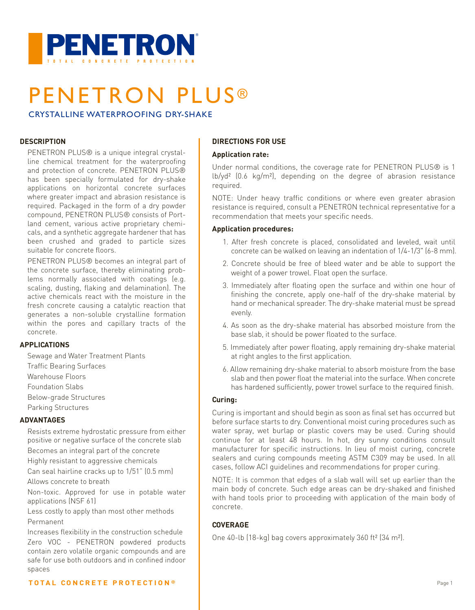

# PENETRON PLUS®

#### CRYSTALLINE WATERPROOFING DRY-SHAKE

#### **DESCRIPTION**

PENETRON PLUS® is a unique integral crystalline chemical treatment for the waterproofing and protection of concrete. PENETRON PLUS® has been specially formulated for dry-shake applications on horizontal concrete surfaces where greater impact and abrasion resistance is required. Packaged in the form of a dry powder compound, PENETRON PLUS® consists of Portland cement, various active proprietary chemicals, and a synthetic aggregate hardener that has been crushed and graded to particle sizes suitable for concrete floors.

PENETRON PLUS® becomes an integral part of the concrete surface, thereby eliminating problems normally associated with coatings (e.g. scaling, dusting, flaking and delamination). The active chemicals react with the moisture in the fresh concrete causing a catalytic reaction that generates a non-soluble crystalline formation within the pores and capillary tracts of the concrete.

#### **APPLICATIONS**

Sewage and Water Treatment Plants Traffic Bearing Surfaces Warehouse Floors Foundation Slabs Below-grade Structures Parking Structures

#### **ADVANTAGES**

Resists extreme hydrostatic pressure from either positive or negative surface of the concrete slab Becomes an integral part of the concrete

Highly resistant to aggressive chemicals

Can seal hairline cracks up to 1/51" (0.5 mm) Allows concrete to breath

Non-toxic. Approved for use in potable water applications (NSF 61)

Less costly to apply than most other methods Permanent

Increases flexibility in the construction schedule Zero VOC - PENETRON powdered products contain zero volatile organic compounds and are safe for use both outdoors and in confined indoor spaces

#### **DIRECTIONS FOR USE**

#### **Application rate:**

Under normal conditions, the coverage rate for PENETRON PLUS® is 1 lb/yd² (0.6 kg/m²), depending on the degree of abrasion resistance required.

NOTE: Under heavy traffic conditions or where even greater abrasion resistance is required, consult a PENETRON technical representative for a recommendation that meets your specific needs.

#### **Application procedures:**

- 1. After fresh concrete is placed, consolidated and leveled, wait until concrete can be walked on leaving an indentation of 1/4-1/3" (6-8 mm).
- 2. Concrete should be free of bleed water and be able to support the weight of a power trowel. Float open the surface.
- 3. Immediately after floating open the surface and within one hour of finishing the concrete, apply one-half of the dry-shake material by hand or mechanical spreader. The dry-shake material must be spread evenly.
- 4. As soon as the dry-shake material has absorbed moisture from the base slab, it should be power floated to the surface.
- 5. Immediately after power floating, apply remaining dry-shake material at right angles to the first application.
- 6. Allow remaining dry-shake material to absorb moisture from the base slab and then power float the material into the surface. When concrete has hardened sufficiently, power trowel surface to the required finish.

#### **Curing:**

Curing is important and should begin as soon as final set has occurred but before surface starts to dry. Conventional moist curing procedures such as water spray, wet burlap or plastic covers may be used. Curing should continue for at least 48 hours. In hot, dry sunny conditions consult manufacturer for specific instructions. In lieu of moist curing, concrete sealers and curing compounds meeting ASTM C309 may be used. In all cases, follow ACI guidelines and recommendations for proper curing.

NOTE: It is common that edges of a slab wall will set up earlier than the main body of concrete. Such edge areas can be dry-shaked and finished with hand tools prior to proceeding with application of the main body of concrete.

#### **COVERAGE**

One 40-lb (18-kg) bag covers approximately 360 ft² (34 m²).